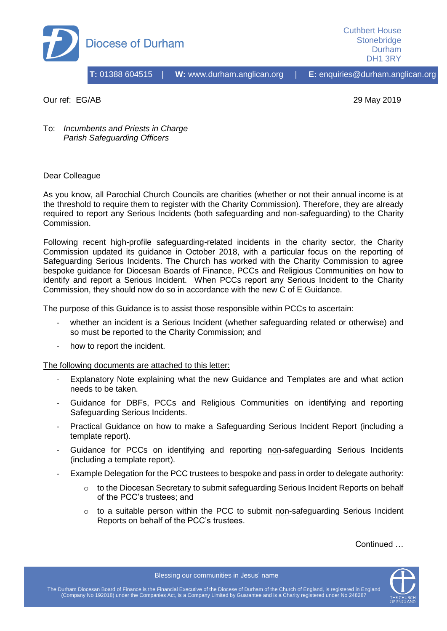

Cuthbert House **Stonebridge** Durham DH1 3RY

Our ref: EG/AB 29 May 2019

To: *Incumbents and Priests in Charge Parish Safeguarding Officers* 

## Dear Colleague

As you know, all Parochial Church Councils are charities (whether or not their annual income is at the threshold to require them to register with the Charity Commission). Therefore, they are already required to report any Serious Incidents (both safeguarding and non-safeguarding) to the Charity Commission.

Following recent high-profile safeguarding-related incidents in the charity sector, the Charity Commission updated its guidance in October 2018, with a particular focus on the reporting of Safeguarding Serious Incidents. The Church has worked with the Charity Commission to agree bespoke guidance for Diocesan Boards of Finance, PCCs and Religious Communities on how to identify and report a Serious Incident. When PCCs report any Serious Incident to the Charity Commission, they should now do so in accordance with the new C of E Guidance.

The purpose of this Guidance is to assist those responsible within PCCs to ascertain:

- whether an incident is a Serious Incident (whether safeguarding related or otherwise) and so must be reported to the Charity Commission; and
- how to report the incident.

The following documents are attached to this letter:

- Explanatory Note explaining what the new Guidance and Templates are and what action needs to be taken.
- Guidance for DBFs, PCCs and Religious Communities on identifying and reporting Safeguarding Serious Incidents.
- Practical Guidance on how to make a Safeguarding Serious Incident Report (including a template report).
- Guidance for PCCs on identifying and reporting non-safeguarding Serious Incidents (including a template report).
- Example Delegation for the PCC trustees to bespoke and pass in order to delegate authority:
	- o to the Diocesan Secretary to submit safeguarding Serious Incident Reports on behalf of the PCC's trustees; and
	- $\circ$  to a suitable person within the PCC to submit non-safeguarding Serious Incident Reports on behalf of the PCC's trustees.

Continued …



Blessing our communities in Jesus' name